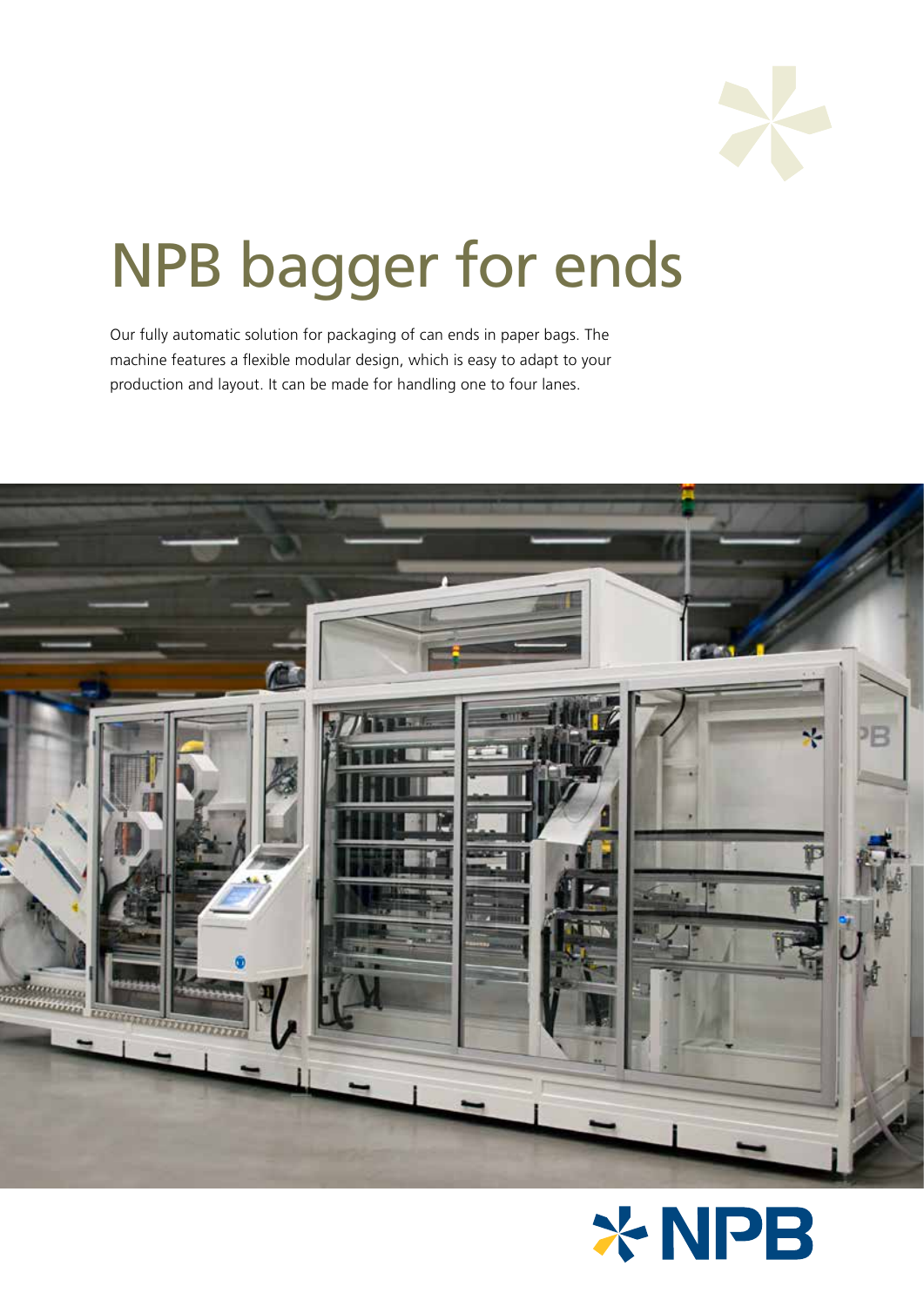

# NPB bagger for ends

Our fully automatic solution for packaging of can ends in paper bags. The machine features a flexible modular design, which is easy to adapt to your production and layout. It can be made for handling one to four lanes.